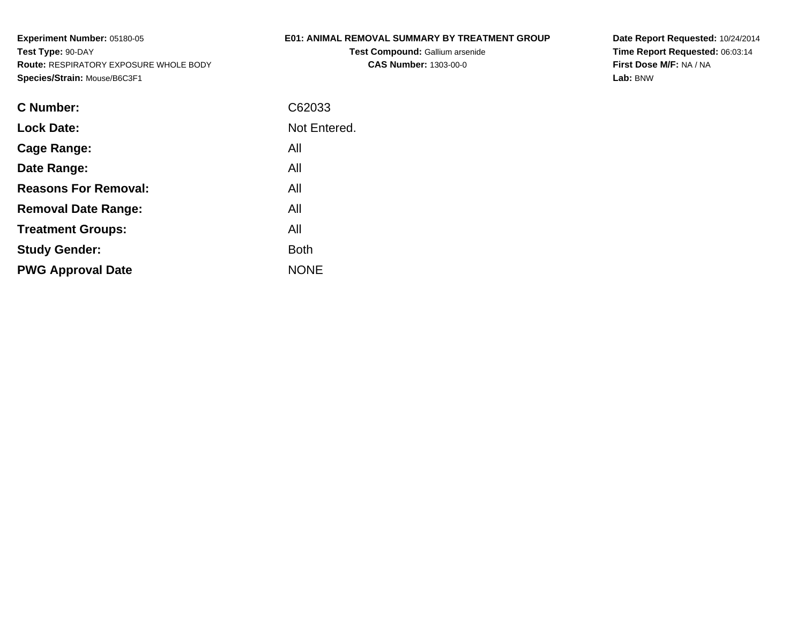## **E01: ANIMAL REMOVAL SUMMARY BY TREATMENT GROUP**

**Test Compound:** Gallium arsenide**CAS Number:** 1303-00-0

**Date Report Requested:** 10/24/2014**Time Report Requested:** 06:03:14**First Dose M/F:** NA / NA**Lab:** BNW

| C Number:                   | C62033       |
|-----------------------------|--------------|
| <b>Lock Date:</b>           | Not Entered. |
| Cage Range:                 | All          |
| Date Range:                 | All          |
| <b>Reasons For Removal:</b> | All          |
| <b>Removal Date Range:</b>  | All          |
| <b>Treatment Groups:</b>    | All          |
| <b>Study Gender:</b>        | <b>Both</b>  |
| <b>PWG Approval Date</b>    | <b>NONE</b>  |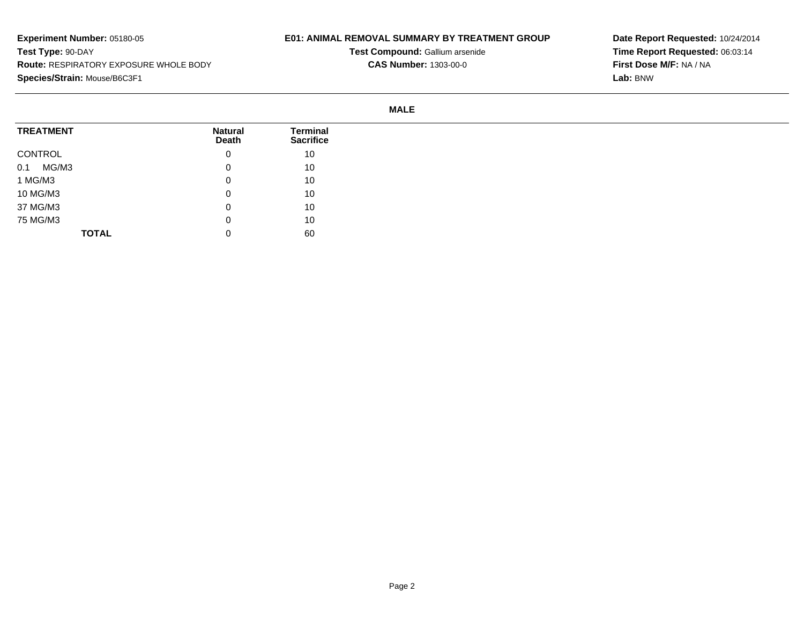## **E01: ANIMAL REMOVAL SUMMARY BY TREATMENT GROUP**

**Test Compound:** Gallium arsenide**CAS Number:** 1303-00-0

**Date Report Requested:** 10/24/2014**Time Report Requested:** 06:03:14**First Dose M/F:** NA / NA**Lab:** BNW

#### **MALE**

| <b>TREATMENT</b> | <b>Natural</b><br>Death | <b>Terminal</b><br><b>Sacrifice</b> |
|------------------|-------------------------|-------------------------------------|
| CONTROL          | 0                       | 10                                  |
| MG/M3<br>0.1     | 0                       | 10                                  |
| 1 MG/M3          | 0                       | 10                                  |
| 10 MG/M3         | 0                       | 10                                  |
| 37 MG/M3         | 0                       | 10                                  |
| 75 MG/M3         | 0                       | 10                                  |
| <b>TOTAL</b>     | 0                       | 60                                  |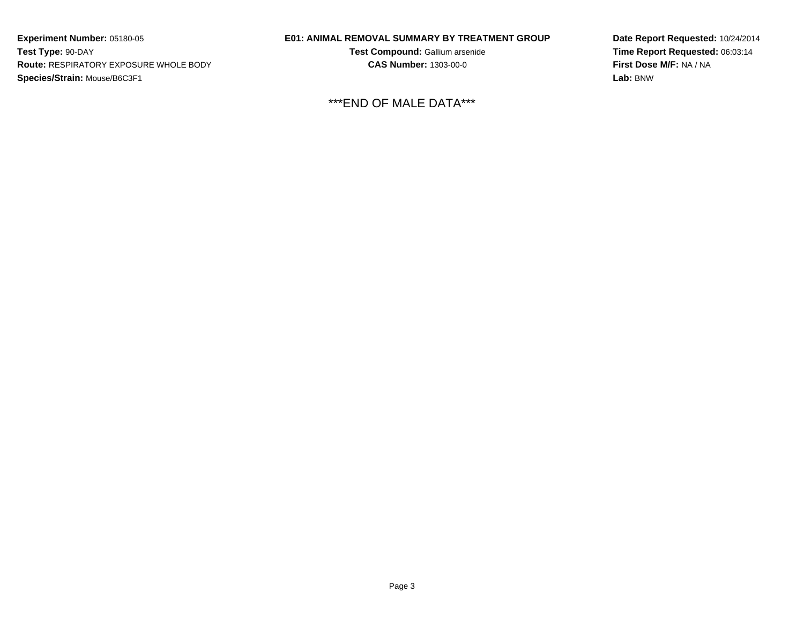## **E01: ANIMAL REMOVAL SUMMARY BY TREATMENT GROUP**

**Test Compound:** Gallium arsenide**CAS Number:** 1303-00-0

\*\*\*END OF MALE DATA\*\*\*

**Date Report Requested:** 10/24/2014**Time Report Requested:** 06:03:14**First Dose M/F:** NA / NA**Lab:** BNW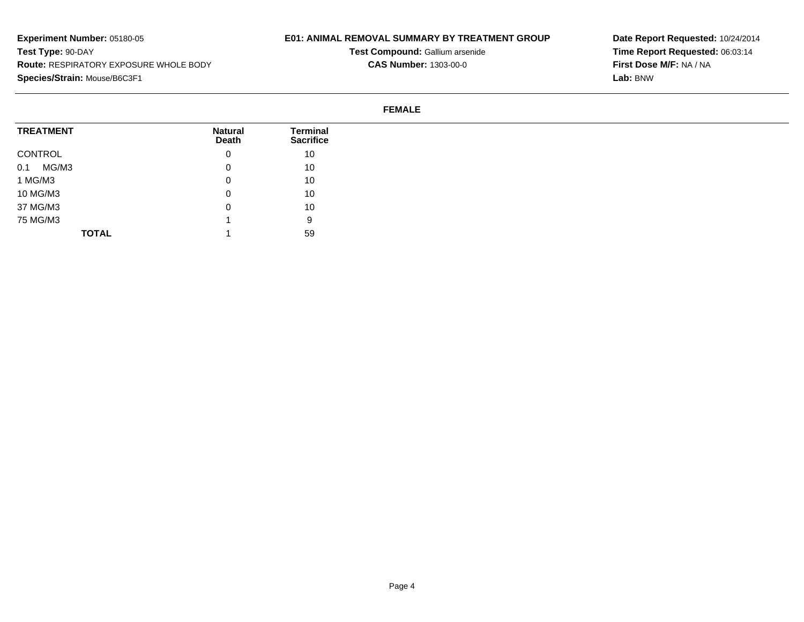### **E01: ANIMAL REMOVAL SUMMARY BY TREATMENT GROUP**

**Test Compound:** Gallium arsenide**CAS Number:** 1303-00-0

**Date Report Requested:** 10/24/2014**Time Report Requested:** 06:03:14**First Dose M/F:** NA / NA**Lab:** BNW

#### **FEMALE**

| <b>TREATMENT</b> | <b>Natural</b><br>Death | Terminal<br><b>Sacrifice</b> |
|------------------|-------------------------|------------------------------|
| CONTROL          | 0                       | 10                           |
| 0.1<br>MG/M3     | u                       | 10                           |
| 1 MG/M3          | O                       | 10                           |
| 10 MG/M3         | u                       | 10                           |
| 37 MG/M3         | 0                       | 10                           |
| 75 MG/M3         |                         | 9                            |
| <b>TOTAL</b>     |                         | 59                           |